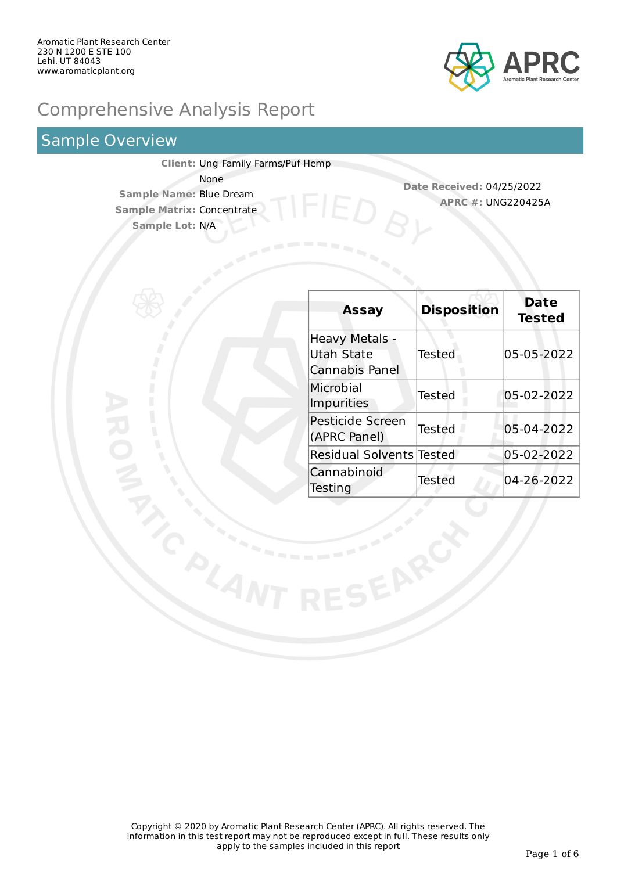

# Comprehensive Analysis Report

### Sample Overview

**Client:** Ung Family Farms/Puf Hemp None **Sample Name:** Blue Dream **Sample Matrix:** Concentrate **Sample Lot:** N/A

**Date Received:** 04/25/2022 **APRC #:** UNG220425A

| <b>Assay</b>                                          | <b>Disposition</b> | <b>Date</b><br><b>Tested</b> |
|-------------------------------------------------------|--------------------|------------------------------|
| <b>Heavy Metals -</b><br>Utah State<br>Cannabis Panel | Tested             | 05-05-2022                   |
| Microbial<br><b>Impurities</b>                        | Tested             | 05-02-2022                   |
| <b>Pesticide Screen</b><br>(APRC Panel)               | Tested             | 05-04-2022                   |
| <b>Residual Solvents Tested</b>                       |                    | 05-02-2022                   |
| Cannabinoid<br>Testing                                | Tested             | 04-26-2022                   |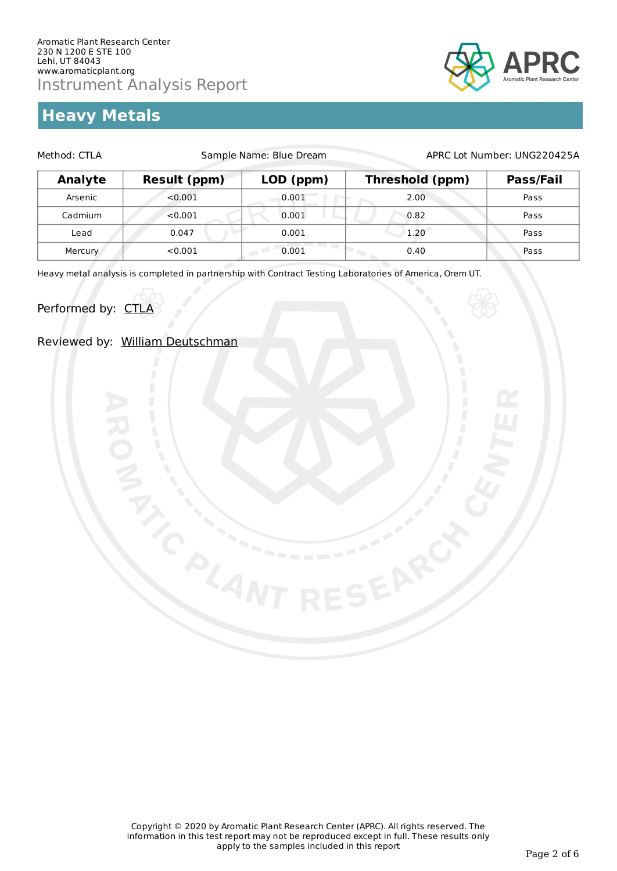# **Heavy Metals**



| Method: CTLA   |                     | Sample Name: Blue Dream |                 | APRC Lot Number: UNG220425A |  |  |
|----------------|---------------------|-------------------------|-----------------|-----------------------------|--|--|
| <b>Analyte</b> | <b>Result (ppm)</b> | LOD (ppm)               | Threshold (ppm) | Pass/Fail                   |  |  |
| Arsenic        | < 0.001             | 0.001                   | 2.00            | Pass                        |  |  |
| Cadmium        | < 0.001             | 0.001                   | 0.82            | Pass                        |  |  |
| Lead           | 0.047               | 0.001                   | 1.20            | Pass                        |  |  |
| Mercury        | < 0.001             | 0.001                   | 0.40            | Pass                        |  |  |

Heavy metal analysis is completed in partnership with Contract Testing Laboratories of America, Orem UT.

Performed by: CTLA

Reviewed by: William Deutschman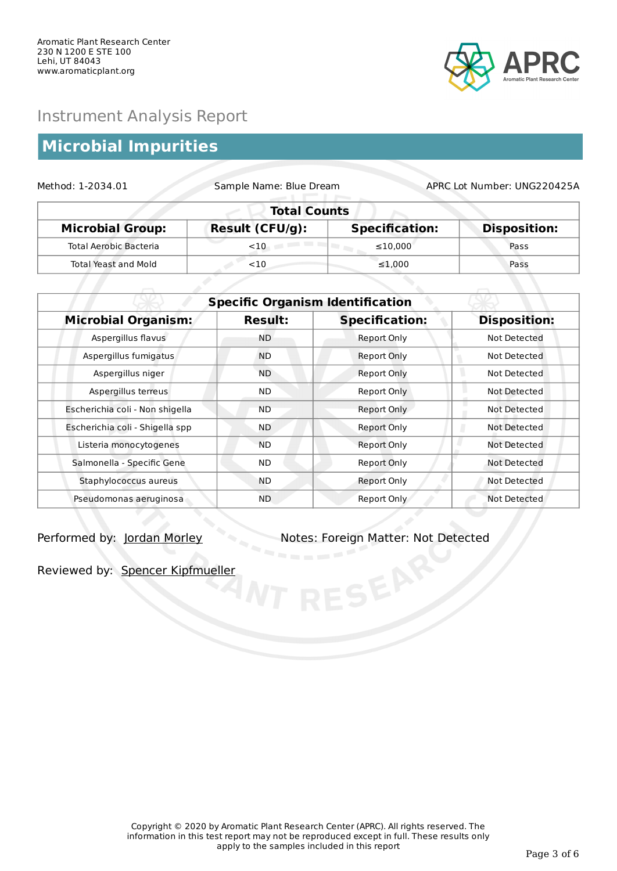

# **Microbial Impurities**

| Sample Name: Blue Dream<br>Method: 1-2034.01 |                        |                       | APRC Lot Number: UNG220425A |  |
|----------------------------------------------|------------------------|-----------------------|-----------------------------|--|
|                                              | <b>Total Counts</b>    |                       |                             |  |
| <b>Microbial Group:</b>                      | <b>Result (CFU/g):</b> | <b>Specification:</b> | <b>Disposition:</b>         |  |
| <b>Total Aerobic Bacteria</b>                | $<$ 10                 | $\leq 10.000$         | Pass                        |  |
| <b>Total Yeast and Mold</b>                  | $<$ 10                 | $\leq 1.000$          | Pass                        |  |

| <b>Specific Organism Identification</b> |                |                       |                     |
|-----------------------------------------|----------------|-----------------------|---------------------|
| <b>Microbial Organism:</b>              | <b>Result:</b> | <b>Specification:</b> | <b>Disposition:</b> |
| Aspergillus flavus                      | <b>ND</b>      | Report Only           | Not Detected        |
| Aspergillus fumigatus                   | <b>ND</b>      | Report Only           | Not Detected        |
| Aspergillus niger                       | <b>ND</b>      | Report Only           | Not Detected        |
| Aspergillus terreus                     | ND.            | Report Only           | Not Detected        |
| Escherichia coli - Non shigella         | <b>ND</b>      | Report Only           | Not Detected        |
| Escherichia coli - Shigella spp         | <b>ND</b>      | <b>Report Only</b>    | Not Detected        |
| Listeria monocytogenes                  | <b>ND</b>      | Report Only           | Not Detected        |
| Salmonella - Specific Gene              | ND.            | Report Only           | Not Detected        |
| Staphylococcus aureus                   | ND.            | Report Only           | Not Detected        |
| Pseudomonas aeruginosa                  | ND.            | Report Only           | Not Detected        |

Performed by: Jordan Morley Notes: Foreign Matter: Not Detected

Reviewed by: Spencer Kipfmueller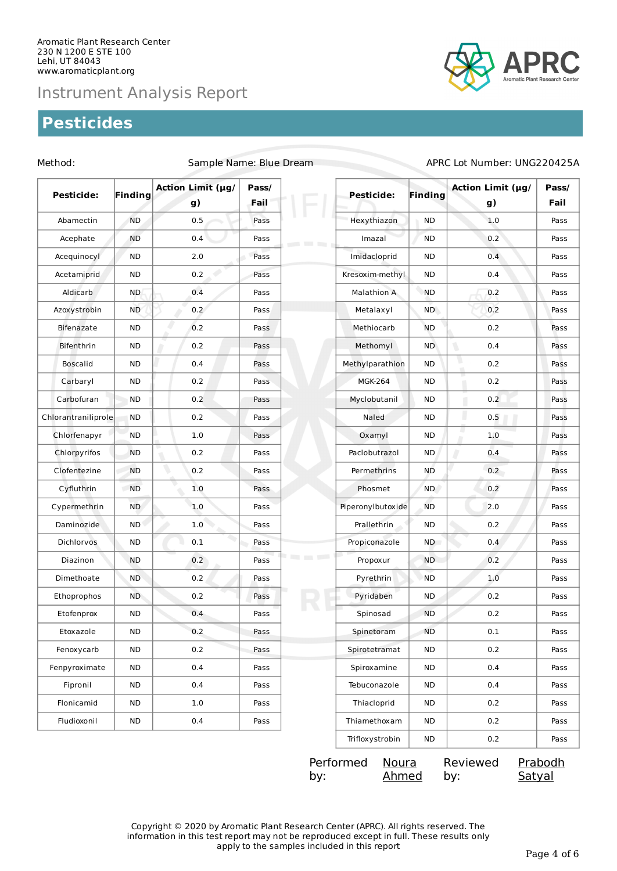## **Pesticides**



| <b>Pesticide:</b>   | Finding    | <b>Action Limit (µg/</b><br>g) | Pass/<br>Fail | Pesticide:                                    | <b>Finding</b> | Action Limit (µg/<br>g) | Pass/<br>Fail |
|---------------------|------------|--------------------------------|---------------|-----------------------------------------------|----------------|-------------------------|---------------|
| Abamectin           | <b>ND</b>  | 0.5                            | Pass          | Hexythiazon                                   | <b>ND</b>      | 1.0                     | Pass          |
| Acephate            | <b>ND</b>  | 0.4                            | Pass          | Imazal<br><b>Contract Contract Contract</b>   | <b>ND</b>      | 0.2                     | Pass          |
| Acequinocyl         | <b>ND</b>  | 2.0                            | Pass          | Imidacloprid                                  | <b>ND</b>      | 0.4                     | Pass          |
| Acetamiprid         | <b>ND</b>  | 0.2                            | Pass          | Kresoxim-methyl                               | <b>ND</b>      | 0.4                     | Pass          |
| Aldicarb            | <b>ND</b>  | 0.4                            | Pass          | <b>Malathion A</b>                            | <b>ND</b>      | 0.2                     | Pass          |
| Azoxystrobin        | <b>ND</b>  | 0.2                            | Pass          | Metalaxyl                                     | <b>ND</b>      | 0.2                     | Pass          |
| Bifenazate          | <b>ND</b>  | 0.2                            | Pass          | Methiocarb                                    | <b>ND</b>      | 0.2                     | Pass          |
| Bifenthrin          | <b>ND</b>  | 0.2                            | Pass          | Methomyl                                      | <b>ND</b>      | ٦<br>0.4                | Pass          |
| <b>Boscalid</b>     | <b>ND</b>  | 0.4                            | Pass          | Methylparathion                               | ND             | ٠<br>0.2<br>a.          | Pass          |
| Carbaryl            | <b>ND</b>  | 0.2                            | Pass          | <b>MGK-264</b>                                | <b>ND</b>      | 0.2                     | Pass          |
| Carbofuran          | <b>ND</b>  | 0.2                            | Pass          | Myclobutanil                                  | <b>ND</b>      | 0.2                     | Pass          |
| Chlorantraniliprole | <b>ND</b>  | 0.2                            | Pass          | Naled                                         | <b>ND</b>      | I<br>0.5                | Pass          |
| Chlorfenapyr        | ND.        | 1.0                            | Pass          | Oxamyl                                        | ND             | ш<br>1.0                | Pass          |
| Chlorpyrifos        | <b>ND</b>  | 0.2                            | Pass          | Paclobutrazol                                 | <b>ND</b>      | D<br>0.4                | Pass          |
| Clofentezine        | <b>ND</b>  | 0.2                            | Pass          | Permethrins                                   | ND             | 0.2                     | Pass          |
| Cyfluthrin          | <b>ND</b>  | 1.0                            | Pass          | Phosmet                                       | ND.            | 0.2                     | Pass          |
| Cypermethrin        | <b>ND</b>  | 1.0                            | Pass          | Piperonylbutoxide                             | <b>ND</b>      | 2.0                     | Pass          |
| Daminozide          | <b>ND</b>  | 1.0                            | Pass          | Prallethrin                                   | ND             | 0.2                     | Pass          |
| Dichlorvos          | <b>ND</b>  | $0.1\,$                        | Pass          | Propiconazole                                 | ND             | 0.4                     | Pass          |
| Diazinon            | <b>ND</b>  | 0.2                            | Pass          | <b>Contract Contract Contract</b><br>Propoxur | <b>ND</b>      | 0.2                     | Pass          |
| Dimethoate          | <b>ND</b>  | 0.2                            | Pass          | Pyrethrin                                     | <b>ND</b>      | 1.0                     | Pass          |
| Ethoprophos         | ND.        | 0.2                            | Pass          | Pyridaben                                     | <b>ND</b>      | 0.2                     | Pass          |
| Etofenprox          | <b>ND</b>  | 0.4                            | Pass          | Spinosad                                      | <b>ND</b>      | 0.2                     | Pass          |
| Etoxazole           | ${\sf ND}$ | 0.2                            | Pass          | Spinetoram                                    | <b>ND</b>      | 0.1                     | Pass          |
| Fenoxycarb          | ND         | 0.2                            | Pass          | Spirotetramat                                 | ND             | 0.2                     | Pass          |
| Fenpyroximate       | <b>ND</b>  | 0.4                            | Pass          | Spiroxamine                                   | ND             | 0.4                     | Pass          |
| Fipronil            | ND         | 0.4                            | Pass          | Tebuconazole                                  | ND             | 0.4                     | Pass          |
| Flonicamid          | <b>ND</b>  | 1.0                            | Pass          | Thiacloprid                                   | ND             | 0.2                     | Pass          |
| Fludioxonil         | <b>ND</b>  | $0.4\,$                        | Pass          | Thiamethoxam                                  | ${\sf ND}$     | $0.2\,$                 | Pass          |

#### Method: Sample Name: Blue Dream APRC Lot Number: UNG220425A

| Performed Noura |       | Reviewed | Prabodh |
|-----------------|-------|----------|---------|
| by:             | Ahmed | bv:      | Satyal  |

Trifloxystrobin ND 0.2 Pass

Copyright © 2020 by Aromatic Plant Research Center (APRC). All rights reserved. The information in this test report may not be reproduced except in full. These results only apply to the samples included in this report Page 4 of 6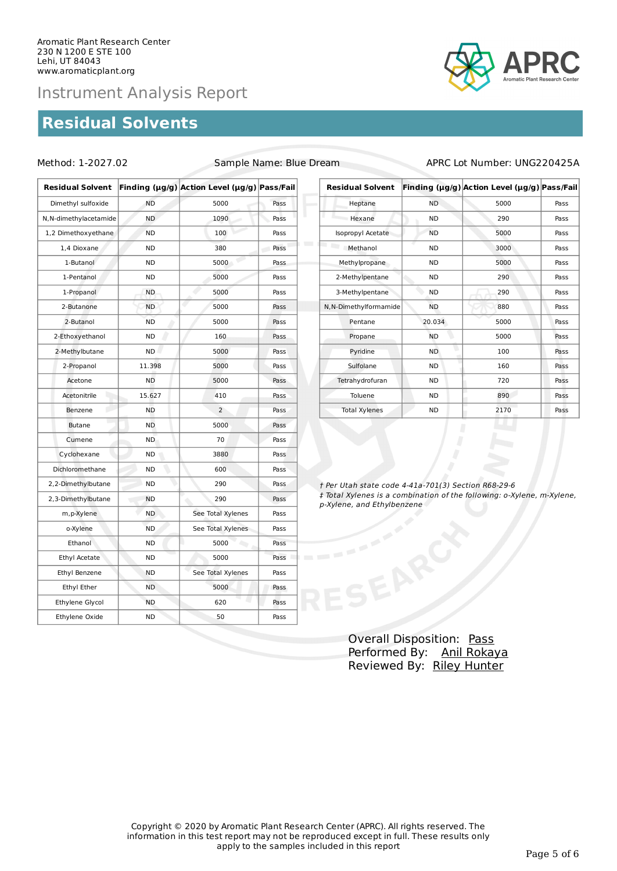## **Residual Solvents**



### Method: 1-2027.02 Sample Name: Blue Dream APRC Lot Number: UNG220425A

| <b>Residual Solvent</b> |           | Finding (µg/g) Action Level (µg/g) Pass/Fail |      |
|-------------------------|-----------|----------------------------------------------|------|
| Dimethyl sulfoxide      | <b>ND</b> | 5000                                         | Pass |
| N, N-dimethylacetamide  | <b>ND</b> | 1090                                         | Pass |
| 1,2 Dimethoxyethane     | <b>ND</b> | 100                                          | Pass |
| 1,4 Dioxane             | <b>ND</b> | 380                                          | Pass |
| 1-Butanol               | <b>ND</b> | 5000                                         | Pass |
| 1-Pentanol              | ND        | 5000                                         | Pass |
| 1-Propanol              | <b>ND</b> | 5000                                         | Pass |
| 2-Butanone              | <b>ND</b> | 5000                                         | Pass |
| 2-Butanol               | <b>ND</b> | 5000                                         | Pass |
| 2-Ethoxyethanol         | <b>ND</b> | 160                                          | Pass |
| 2-Methylbutane          | <b>ND</b> | 5000                                         | Pass |
| 2-Propanol              | 11.398    | 5000                                         | Pass |
| Acetone                 | <b>ND</b> | 5000                                         | Pass |
| Acetonitrile            | 15.627    | 410                                          | Pass |
| Benzene                 | <b>ND</b> | $\overline{2}$                               | Pass |
| <b>Butane</b>           | <b>ND</b> | 5000                                         | Pass |
| Cumene                  | <b>ND</b> | 70                                           | Pass |
| Cyclohexane             | ND        | 3880                                         | Pass |
| Dichloromethane         | ND        | 600                                          | Pass |
| 2,2-Dimethylbutane      | <b>ND</b> | 290                                          | Pass |
| 2,3-Dimethylbutane      | <b>ND</b> | 290                                          | Pass |
| m, p-Xylene             | <b>ND</b> | See Total Xylenes                            | Pass |
| o-Xylene                | <b>ND</b> | See Total Xylenes                            | Pass |
| Ethanol                 | <b>ND</b> | 5000                                         | Pass |
| Ethyl Acetate           | ND        | 5000                                         | Pass |
| Ethyl Benzene           | ND        | See Total Xylenes                            | Pass |
| Ethyl Ether             | <b>ND</b> | 5000                                         | Pass |
| Ethylene Glycol         | <b>ND</b> | 620                                          | Pass |
| Ethylene Oxide          | <b>ND</b> | 50                                           | Pass |

| <b>Residual Solvent</b> |           | Finding (µg/g) Action Level (µg/g) Pass/Fail |      |
|-------------------------|-----------|----------------------------------------------|------|
| Heptane                 | <b>ND</b> | 5000                                         | Pass |
| Hexane                  | ND.       | 290                                          | Pass |
| Isopropyl Acetate       | <b>ND</b> | 5000                                         | Pass |
| Methanol                | ND.       | 3000                                         | Pass |
| Methylpropane           | <b>ND</b> | 5000                                         | Pass |
| 2-Methylpentane         | ND.       | 290                                          | Pass |
| 3-Methylpentane         | <b>ND</b> | 290                                          | Pass |
| N, N-Dimethylformamide  | <b>ND</b> | 880                                          | Pass |
| Pentane                 | 20.034    | 5000                                         | Pass |
| Propane                 | <b>ND</b> | 5000                                         | Pass |
| Pyridine                | <b>ND</b> | 100                                          | Pass |
| Sulfolane               | <b>ND</b> | 160                                          | Pass |
| Tetrahydrofuran         | ND.       | 720                                          | Pass |
| Toluene                 | ND.       | 890                                          | Pass |
| <b>Total Xylenes</b>    | <b>ND</b> | 2170                                         | Pass |

† Per Utah state code 4-41a-701(3) Section R68-29-6 ‡ Total Xylenes is a combination of the following: o-Xylene, m-Xylene, p-Xylene, and Ethylbenzene

> Overall Disposition: Pass Performed By: Anil Rokaya Reviewed By: Riley Hunter